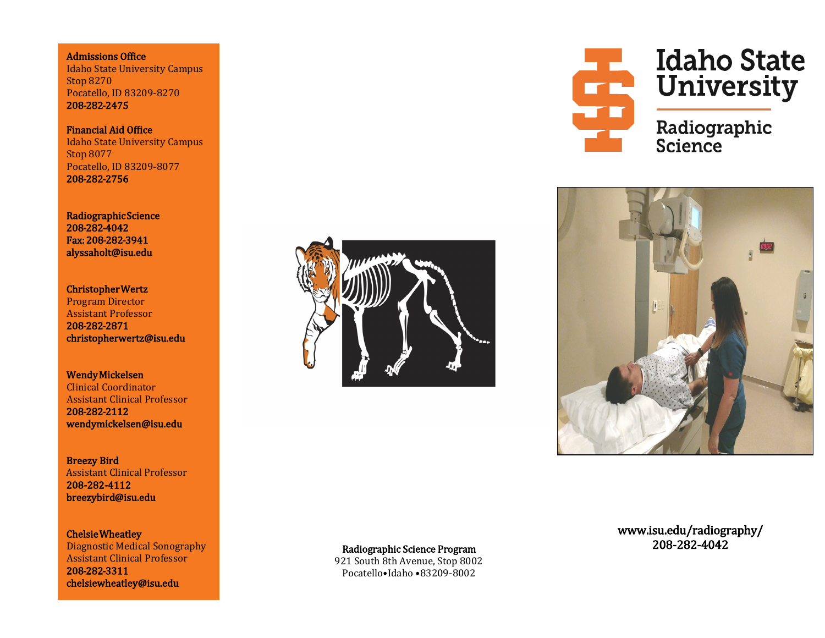Admissions Office Idaho State University Campus Stop 8270 Pocatello, ID 83209-8270 208-282-2475

Financial Aid Office Idaho State University Campus Stop 8077 Pocatello, ID 83209-8077 208-282-2756

Radiographic Science 208-282-4042 Fax: 208-282-3941 alyssaholt@isu.edu

Christopher Wertz Program Director Assistant Professor 208-282-2871 christopherwertz@isu.edu

Wendy Mickelsen Clinical Coordinator Assistant Clinical Professor 208-282-2112 wendymickelsen@isu.edu

Breezy Bird Assistant Clinical Professor 208-282-4112 breezybird@isu.edu

Chelsie Wheatley Diagnostic Medical Sonography Assistant Clinical Professor 208-282-3311 chelsiewheatley@isu.edu





**Excessible Transfer de la Contrat de la Galegraphie<br>Exclusive de la Galegraphie Idaho State** 

Science



921 South 8th Avenue, Stop 8002 Pocatello•Idaho •83209-8002

www.isu.edu/radiography/ 208-282-4042 Radiographic Science Program